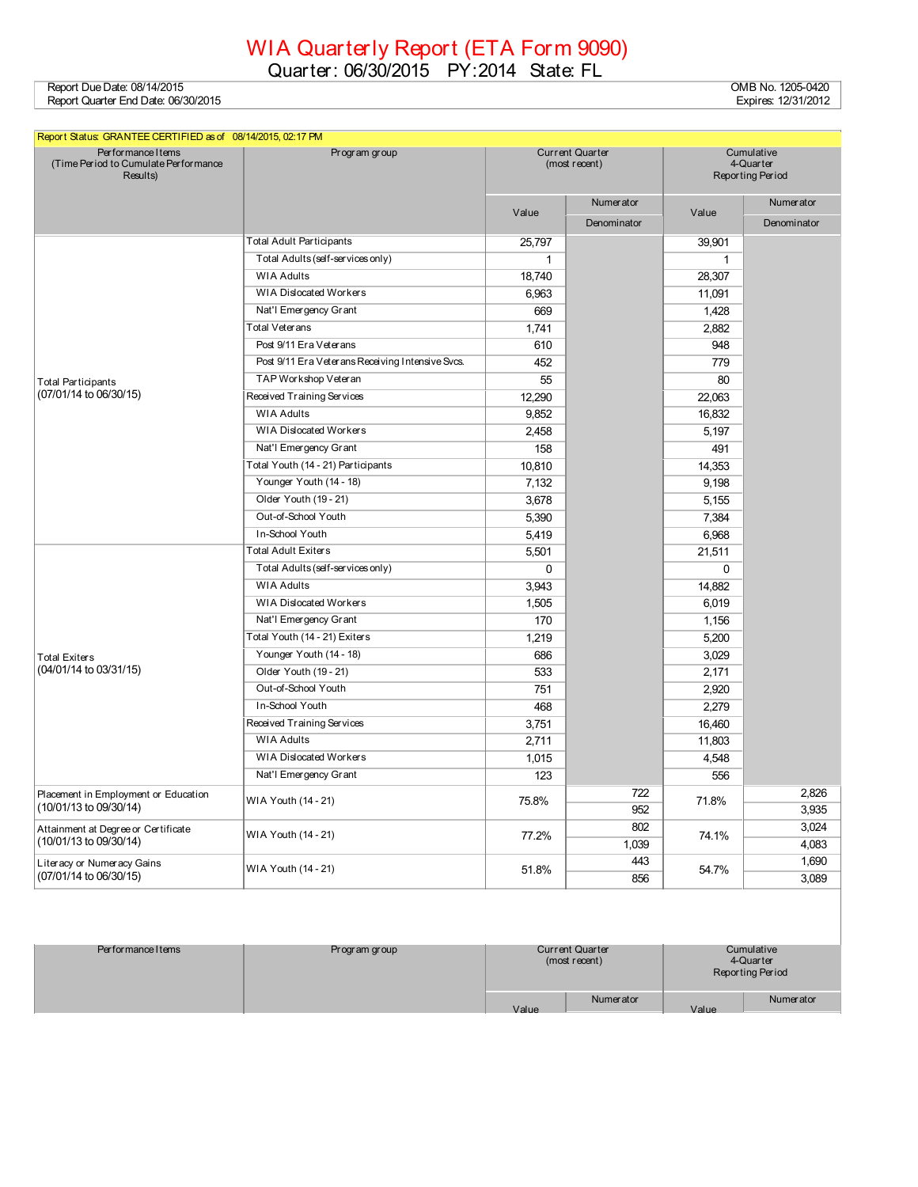## WIA Quarterly Report (ETA Form 9090)

Quarter: 06/30/2015 PY:2014 State: FL

Report Due Date: 08/14/2015 OMB No. 1205-0420 Report Quarter End Date: 06/30/2015 Expires: 12/31/2012

| Report Status: GRANTEE CERTIFIED as of 08/14/2015, 02:17 PM             |                                                  |                                         |             |                                             |                  |
|-------------------------------------------------------------------------|--------------------------------------------------|-----------------------------------------|-------------|---------------------------------------------|------------------|
| Performance I tems<br>(Time Period to Cumulate Performance)<br>Results) | Program group                                    | <b>Current Quarter</b><br>(most recent) |             | Cumulative<br>4-Quarter<br>Reporting Period |                  |
|                                                                         |                                                  |                                         | Numerator   |                                             | <b>Numerator</b> |
|                                                                         |                                                  | Value                                   | Denominator | Value                                       | Denominator      |
|                                                                         | <b>Total Adult Participants</b>                  | 25,797                                  |             | 39,901                                      |                  |
|                                                                         | Total Adults (self-services only)                | $\mathbf{1}$                            |             | $\mathbf{1}$                                |                  |
|                                                                         | <b>WIA Adults</b>                                | 18.740                                  |             | 28.307                                      |                  |
|                                                                         | <b>WIA Dislocated Workers</b>                    | 6,963                                   |             | 11,091                                      |                  |
|                                                                         | Nat'l Emergency Grant                            | 669                                     |             | 1,428                                       |                  |
|                                                                         | Total Veterans                                   | 1,741                                   |             | 2,882                                       |                  |
|                                                                         | Post 9/11 Era Veterans                           | 610                                     |             | 948                                         |                  |
|                                                                         | Post 9/11 Era Veterans Receiving Intensive Svcs. | 452                                     |             | 779                                         |                  |
| Total Participants                                                      | TAP Workshop Veteran                             | 55                                      |             | 80                                          |                  |
| (07/01/14 to 06/30/15)                                                  | Received Training Services                       | 12,290                                  |             | 22,063                                      |                  |
|                                                                         | <b>WIA Adults</b>                                | 9,852                                   |             | 16,832                                      |                  |
|                                                                         | <b>WIA Dislocated Workers</b>                    | 2,458                                   |             | 5,197                                       |                  |
|                                                                         | Nat'l Emergency Grant                            | 158                                     |             | 491                                         |                  |
|                                                                         | Total Youth (14 - 21) Participants               | 10,810                                  |             | 14,353                                      |                  |
|                                                                         | Younger Youth (14 - 18)                          | 7,132                                   |             | 9,198                                       |                  |
|                                                                         | Older Youth (19 - 21)                            | 3.678                                   |             | 5,155                                       |                  |
|                                                                         | Out-of-School Youth                              | 5,390                                   |             | 7,384                                       |                  |
|                                                                         | In-School Youth                                  | 5,419                                   |             | 6,968                                       |                  |
|                                                                         | <b>Total Adult Exiters</b>                       | 5,501                                   |             | 21,511                                      |                  |
|                                                                         | Total Adults (self-services only)                | $\Omega$                                |             | $\Omega$                                    |                  |
|                                                                         | <b>WIA Adults</b>                                | 3,943                                   |             | 14.882                                      |                  |
|                                                                         | WIA Dislocated Workers                           | 1,505                                   |             | 6,019                                       |                  |
|                                                                         | Nat'l Emergency Grant                            | 170                                     |             | 1,156                                       |                  |
|                                                                         | Total Youth (14 - 21) Exiters                    | 1,219                                   |             | 5,200                                       |                  |
| Total Exiters                                                           | Younger Youth (14 - 18)                          | 686                                     |             | 3,029                                       |                  |
| (04/01/14 to 03/31/15)                                                  | Older Youth (19 - 21)                            | 533                                     |             | 2,171                                       |                  |
|                                                                         | Out-of-School Youth                              | 751                                     |             | 2,920                                       |                  |
|                                                                         | In-School Youth                                  | 468                                     |             | 2,279                                       |                  |
|                                                                         | Received Training Services<br>3,751              |                                         |             | 16,460                                      |                  |
|                                                                         | <b>WIA Adults</b>                                | 2,711                                   |             | 11,803                                      |                  |
|                                                                         | <b>WIA Dislocated Workers</b>                    | 1,015                                   |             | 4,548                                       |                  |
|                                                                         | Nat'l Emergency Grant                            | 123                                     |             | 556                                         |                  |
| Placement in Employment or Education                                    | WIA Youth (14 - 21)                              | 75.8%                                   | 722         |                                             | 2,826            |
| (10/01/13 to 09/30/14)                                                  |                                                  |                                         | 952         | 71.8%                                       | 3,935            |
| Attainment at Degree or Certificate                                     | WIA Youth (14 - 21)                              | 77.2%                                   | 802         |                                             | 3,024            |
| (10/01/13 to 09/30/14)                                                  |                                                  |                                         | 1,039       | 74.1%                                       | 4,083            |
| Literacy or Numeracy Gains                                              |                                                  |                                         | 443         |                                             | 1,690            |
| (07/01/14 to 06/30/15)                                                  | WIA Youth (14 - 21)                              | 51.8%                                   | 856         | 54.7%                                       | 3.089            |

| Performance I tems | Program group | <b>Current Quarter</b><br>(most recent) |           | Cumulative<br>4-Quarter<br>Reporting Period |           |
|--------------------|---------------|-----------------------------------------|-----------|---------------------------------------------|-----------|
|                    |               | Value                                   | Numerator | Value                                       | Numerator |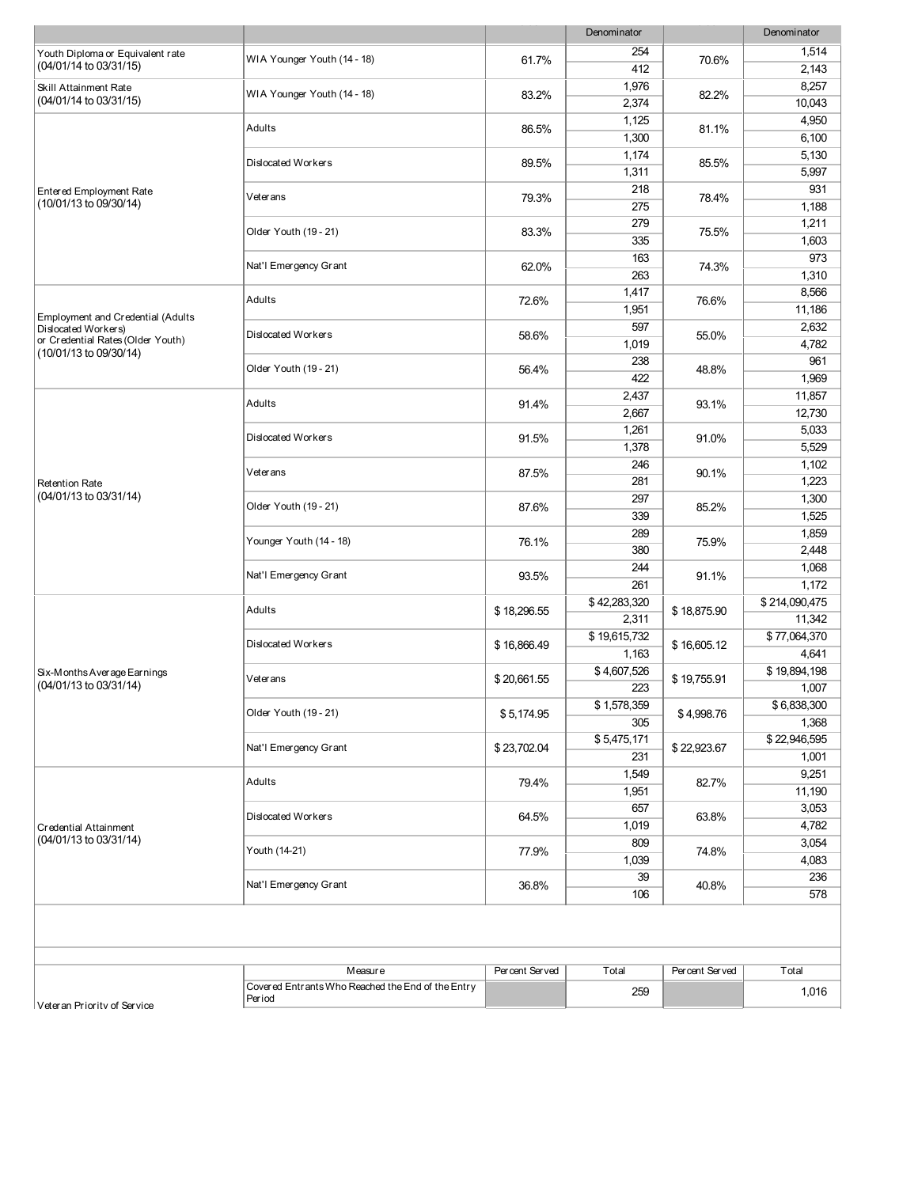|                                                          |                                                             |                                    | Denominator  |                | Denominator   |
|----------------------------------------------------------|-------------------------------------------------------------|------------------------------------|--------------|----------------|---------------|
| Youth Diploma or Equivalent rate                         | WIA Younger Youth (14 - 18)                                 | 61.7%                              | 254          | 70.6%          | 1,514         |
| (04/01/14 to 03/31/15)                                   |                                                             |                                    | 412          |                | 2,143         |
| Skill Attainment Rate                                    | WIA Younger Youth (14 - 18)                                 | 83.2%                              | 1,976        |                | 8,257         |
| (04/01/14 to 03/31/15)                                   |                                                             |                                    | 2,374        | 82.2%          | 10,043        |
|                                                          | Adults                                                      | 86.5%                              | 1,125        | 81.1%          | 4,950         |
|                                                          |                                                             |                                    | 1,300        |                | 6,100         |
|                                                          | Dislocated Workers                                          |                                    | 1,174        |                | 5,130         |
|                                                          |                                                             | 89.5%                              | 1,311        | 85.5%          | 5,997         |
| Entered Employment Rate                                  | Veterans                                                    |                                    | 218          |                | 931           |
| (10/01/13 to 09/30/14)                                   |                                                             | 79.3%                              | 275          | 78.4%          | 1,188         |
|                                                          |                                                             | 83.3%                              | 279          |                | 1,211         |
|                                                          | Older Youth (19 - 21)                                       |                                    | 335          | 75.5%          | 1,603         |
|                                                          |                                                             | 62.0%                              | 163          |                | 973           |
|                                                          | Nat'l Emergency Grant                                       |                                    | 263          | 74.3%          | 1,310         |
|                                                          |                                                             |                                    | 1,417        |                | 8,566         |
|                                                          | Adults                                                      | 72.6%                              | 1,951        | 76.6%          | 11,186        |
| Employment and Credential (Adults<br>Dislocated Workers) |                                                             |                                    | 597          |                | 2,632         |
| or Credential Rates (Older Youth)                        | Dislocated Workers                                          | 58.6%                              | 1,019        | 55.0%          | 4,782         |
| (10/01/13 to 09/30/14)                                   |                                                             |                                    | 238          |                | 961           |
|                                                          | Older Youth (19 - 21)                                       | 56.4%                              | 422          | 48.8%          | 1,969         |
|                                                          |                                                             |                                    | 2,437        |                | 11.857        |
|                                                          | Adults                                                      | 91.4%                              | 2,667        | 93.1%          | 12,730        |
|                                                          |                                                             |                                    | 1,261        |                | 5,033         |
|                                                          | Dislocated Workers                                          | 91.5%                              | 1,378        | 91.0%          | 5,529         |
|                                                          |                                                             |                                    | 246          |                | 1,102         |
| <b>Retention Rate</b>                                    | Veterans                                                    | 87.5%                              | 281          | 90.1%          | 1,223         |
| (04/01/13 to 03/31/14)                                   |                                                             | 87.6%                              | 297          | 85.2%          | 1,300         |
|                                                          | Older Youth (19 - 21)                                       |                                    | 339          |                | 1,525         |
|                                                          | Younger Youth (14 - 18)                                     |                                    | 289          | 75.9%          | 1,859         |
|                                                          |                                                             | 76.1%                              | 380          |                | 2,448         |
|                                                          | Nat'l Emergency Grant                                       |                                    | 244          | 91.1%          | 1,068         |
|                                                          |                                                             | 93.5%                              | 261          |                | 1,172         |
|                                                          |                                                             |                                    | \$42,283,320 |                | \$214,090,475 |
|                                                          | Adults                                                      | \$18,296.55                        | 2,311        | \$18,875.90    | 11,342        |
|                                                          |                                                             | \$16,866.49<br>\$20,661.55         | \$19,615,732 |                | \$77,064,370  |
|                                                          | Dislocated Workers                                          |                                    | 1,163        | \$16,605.12    | 4,641         |
| Six-Months Average Earnings                              |                                                             |                                    | \$4,607,526  |                | \$19,894,198  |
| (04/01/13 to 03/31/14)                                   | Veterans                                                    |                                    | 223          | \$19,755.91    | 1,007         |
|                                                          |                                                             | \$5,174.95<br>\$23,702.04<br>79.4% | \$1,578,359  |                | \$6,838,300   |
|                                                          | Older Youth (19 - 21)                                       |                                    | 305          | \$4,998.76     | 1,368         |
|                                                          |                                                             |                                    | \$5,475,171  |                | \$22,946,595  |
|                                                          | Nat'l Emergency Grant                                       |                                    | 231          | \$22,923.67    | 1,001         |
|                                                          |                                                             |                                    | 1,549        |                | 9,251         |
|                                                          | Adults                                                      |                                    | 1,951        | 82.7%          | 11,190        |
|                                                          |                                                             | 64.5%                              | 657          |                | 3,053         |
| <b>Credential Attainment</b><br>(04/01/13 to 03/31/14)   | Dislocated Workers                                          |                                    | 1,019        | 63.8%          | 4,782         |
|                                                          |                                                             | 77.9%                              | 809          |                | 3,054         |
|                                                          | Youth (14-21)                                               |                                    | 1,039        | 74.8%          | 4,083         |
|                                                          |                                                             |                                    | 39           |                | 236           |
|                                                          | Nat'l Emergency Grant                                       | 36.8%                              | 106          | 40.8%          | 578           |
|                                                          |                                                             |                                    |              |                |               |
|                                                          |                                                             |                                    |              |                |               |
|                                                          |                                                             |                                    |              |                |               |
|                                                          |                                                             |                                    |              |                |               |
|                                                          | Measure                                                     | Percent Served                     | Total        | Percent Served | Total         |
|                                                          | Covered Entrants Who Reached the End of the Entry<br>Period |                                    | 259          |                | 1,016         |
| Veteran Priority of Service                              |                                                             |                                    |              |                |               |